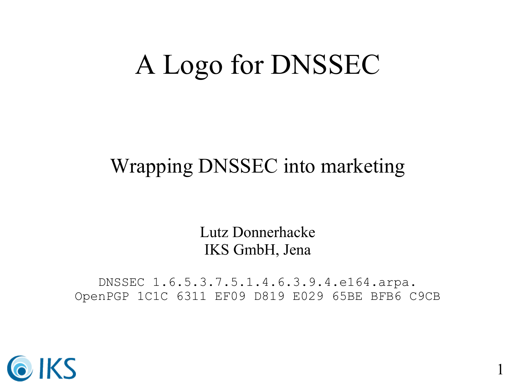### A Logo for DNSSEC

#### Wrapping DNSSEC into marketing

Lutz Donnerhacke IKS GmbH, Jena

DNSSEC 1.6.5.3.7.5.1.4.6.3.9.4.e164.arpa. OpenPGP 1C1C 6311 EF09 D819 E029 65BE BFB6 C9CB

1

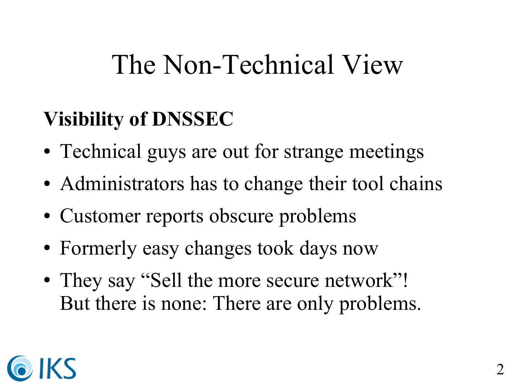## The Non-Technical View

### **Visibility of DNSSEC**

- Technical guys are out for strange meetings
- Administrators has to change their tool chains
- Customer reports obscure problems
- Formerly easy changes took days now
- They say "Sell the more secure network"! But there is none: There are only problems.

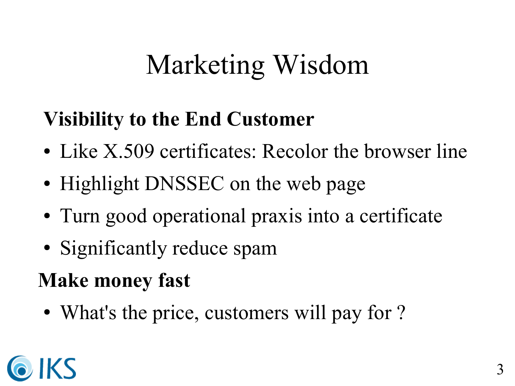# Marketing Wisdom

#### **Visibility to the End Customer**

- Like X.509 certificates: Recolor the browser line
- Highlight DNSSEC on the web page
- Turn good operational praxis into a certificate
- Significantly reduce spam

### **Make money fast**

• What's the price, customers will pay for ?

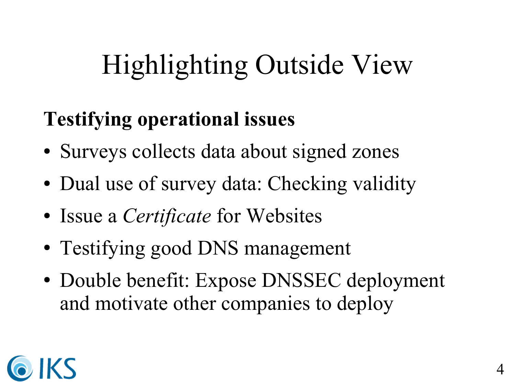# Highlighting Outside View

### **Testifying operational issues**

- Surveys collects data about signed zones
- Dual use of survey data: Checking validity
- Issue a *Certificate* for Websites
- Testifying good DNS management
- Double benefit: Expose DNSSEC deployment and motivate other companies to deploy

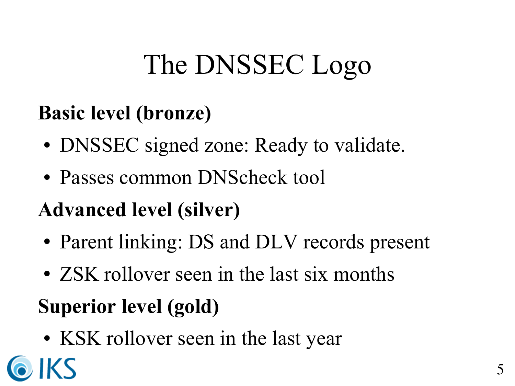# The DNSSEC Logo

#### **Basic level (bronze)**

- DNSSEC signed zone: Ready to validate.
- Passes common DNScheck tool

#### **Advanced level (silver)**

- Parent linking: DS and DLV records present
- ZSK rollover seen in the last six months

### **Superior level (gold)**

IKS

• KSK rollover seen in the last year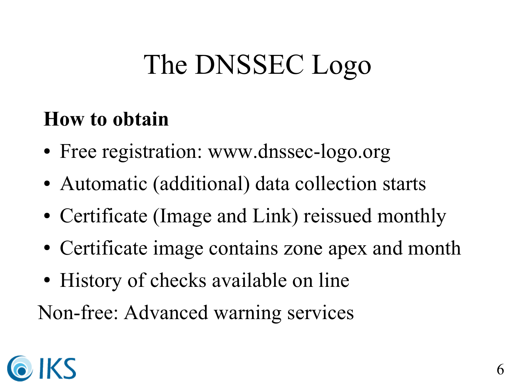## The DNSSEC Logo

#### **How to obtain**

- Free registration: www.dnssec-logo.org
- Automatic (additional) data collection starts
- Certificate (Image and Link) reissued monthly
- Certificate image contains zone apex and month
- History of checks available on line

Non-free: Advanced warning services